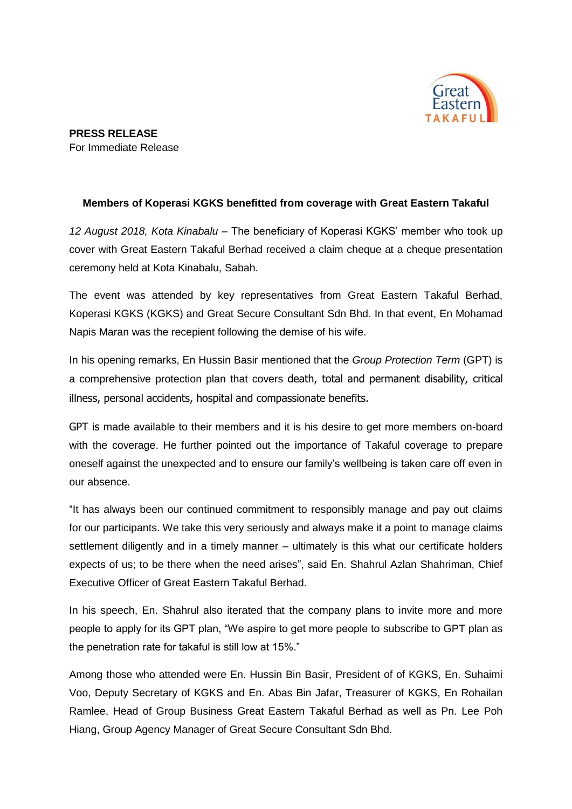

## **Members of Koperasi KGKS benefitted from coverage with Great Eastern Takaful**

*12 August 2018, Kota Kinabalu* – The beneficiary of Koperasi KGKS' member who took up cover with Great Eastern Takaful Berhad received a claim cheque at a cheque presentation ceremony held at Kota Kinabalu, Sabah.

The event was attended by key representatives from Great Eastern Takaful Berhad, Koperasi KGKS (KGKS) and Great Secure Consultant Sdn Bhd. In that event, En Mohamad Napis Maran was the recepient following the demise of his wife.

In his opening remarks, En Hussin Basir mentioned that the *Group Protection Term* (GPT) is a comprehensive protection plan that covers death, total and permanent disability, critical illness, personal accidents, hospital and compassionate benefits.

GPT is made available to their members and it is his desire to get more members on-board with the coverage. He further pointed out the importance of Takaful coverage to prepare oneself against the unexpected and to ensure our family's wellbeing is taken care off even in our absence.

"It has always been our continued commitment to responsibly manage and pay out claims for our participants. We take this very seriously and always make it a point to manage claims settlement diligently and in a timely manner – ultimately is this what our certificate holders expects of us; to be there when the need arises", said En. Shahrul Azlan Shahriman, Chief Executive Officer of Great Eastern Takaful Berhad.

In his speech, En. Shahrul also iterated that the company plans to invite more and more people to apply for its GPT plan, "We aspire to get more people to subscribe to GPT plan as the penetration rate for takaful is still low at 15%."

Among those who attended were En. Hussin Bin Basir, President of of KGKS, En. Suhaimi Voo, Deputy Secretary of KGKS and En. Abas Bin Jafar, Treasurer of KGKS, En Rohailan Ramlee, Head of Group Business Great Eastern Takaful Berhad as well as Pn. Lee Poh Hiang, Group Agency Manager of Great Secure Consultant Sdn Bhd.